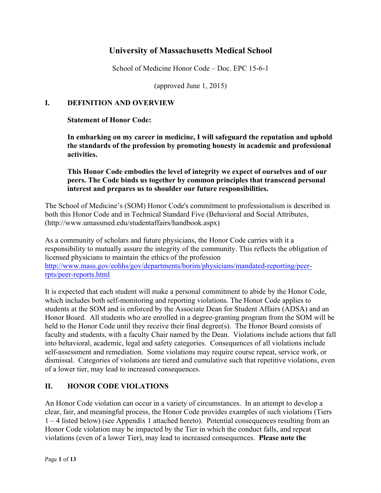# **University of Massachusetts Medical School**

School of Medicine Honor Code – Doc. EPC 15-6-1

(approved June 1, 2015)

### **I. DEFINITION AND OVERVIEW**

### **Statement of Honor Code:**

**In embarking on my career in medicine, I will safeguard the reputation and uphold the standards of the profession by promoting honesty in academic and professional activities.**

### **This Honor Code embodies the level of integrity we expect of ourselves and of our peers. The Code binds us together by common principles that transcend personal interest and prepares us to shoulder our future responsibilities.**

The School of Medicine's (SOM) Honor Code's commitment to professionalism is described in both this Honor Code and in Technical Standard Five (Behavioral and Social Attributes, (http://www.umassmed.edu/studentaffairs/handbook.aspx)

As a community of scholars and future physicians, the Honor Code carries with it a responsibility to mutually assure the integrity of the community. This reflects the obligation of licensed physicians to maintain the ethics of the profession http://www.mass.gov/eohhs/gov/departments/borim/physicians/mandated-reporting/peerrpts/peer-reports.html

It is expected that each student will make a personal commitment to abide by the Honor Code, which includes both self-monitoring and reporting violations. The Honor Code applies to students at the SOM and is enforced by the Associate Dean for Student Affairs (ADSA) and an Honor Board. All students who are enrolled in a degree-granting program from the SOM will be held to the Honor Code until they receive their final degree(s). The Honor Board consists of faculty and students, with a faculty Chair named by the Dean. Violations include actions that fall into behavioral, academic, legal and safety categories. Consequences of all violations include self-assessment and remediation. Some violations may require course repeat, service work, or dismissal. Categories of violations are tiered and cumulative such that repetitive violations, even of a lower tier, may lead to increased consequences.

## **II. HONOR CODE VIOLATIONS**

An Honor Code violation can occur in a variety of circumstances. In an attempt to develop a clear, fair, and meaningful process, the Honor Code provides examples of such violations (Tiers 1 – 4 listed below) (see Appendix 1 attached hereto). Potential consequences resulting from an Honor Code violation may be impacted by the Tier in which the conduct falls, and repeat violations (even of a lower Tier), may lead to increased consequences. **Please note the**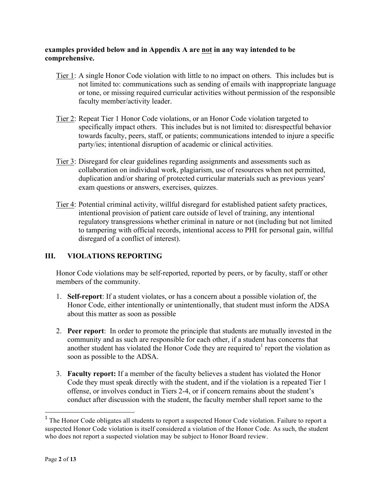### **examples provided below and in Appendix A are not in any way intended to be comprehensive.**

- Tier 1: A single Honor Code violation with little to no impact on others. This includes but is not limited to: communications such as sending of emails with inappropriate language or tone, or missing required curricular activities without permission of the responsible faculty member/activity leader.
- Tier 2: Repeat Tier 1 Honor Code violations, or an Honor Code violation targeted to specifically impact others. This includes but is not limited to: disrespectful behavior towards faculty, peers, staff, or patients; communications intended to injure a specific party/ies; intentional disruption of academic or clinical activities.
- Tier 3: Disregard for clear guidelines regarding assignments and assessments such as collaboration on individual work, plagiarism, use of resources when not permitted, duplication and/or sharing of protected curricular materials such as previous years' exam questions or answers, exercises, quizzes.
- Tier 4: Potential criminal activity, willful disregard for established patient safety practices, intentional provision of patient care outside of level of training, any intentional regulatory transgressions whether criminal in nature or not (including but not limited to tampering with official records, intentional access to PHI for personal gain, willful disregard of a conflict of interest).

## **III. VIOLATIONS REPORTING**

Honor Code violations may be self-reported, reported by peers, or by faculty, staff or other members of the community.

- 1. **Self-report**: If a student violates, or has a concern about a possible violation of, the Honor Code, either intentionally or unintentionally, that student must inform the ADSA about this matter as soon as possible
- 2. **Peer report**: In order to promote the principle that students are mutually invested in the community and as such are responsible for each other, if a student has concerns that another student has violated the Honor Code they are required to<sup>1</sup> report the violation as soon as possible to the ADSA.
- 3. **Faculty report:** If a member of the faculty believes a student has violated the Honor Code they must speak directly with the student, and if the violation is a repeated Tier 1 offense, or involves conduct in Tiers 2-4, or if concern remains about the student's conduct after discussion with the student, the faculty member shall report same to the

 

<sup>&</sup>lt;sup>1</sup> The Honor Code obligates all students to report a suspected Honor Code violation. Failure to report a suspected Honor Code violation is itself considered a violation of the Honor Code. As such, the student who does not report a suspected violation may be subject to Honor Board review.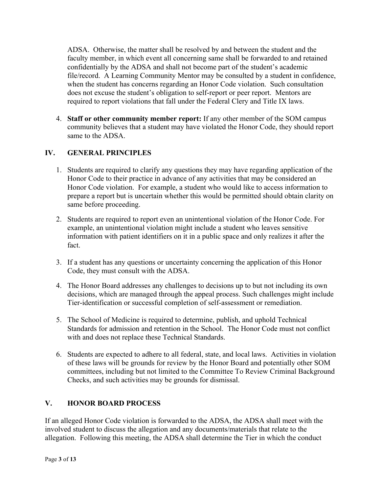ADSA. Otherwise, the matter shall be resolved by and between the student and the faculty member, in which event all concerning same shall be forwarded to and retained confidentially by the ADSA and shall not become part of the student's academic file/record. A Learning Community Mentor may be consulted by a student in confidence, when the student has concerns regarding an Honor Code violation. Such consultation does not excuse the student's obligation to self-report or peer report. Mentors are required to report violations that fall under the Federal Clery and Title IX laws.

4. **Staff or other community member report:** If any other member of the SOM campus community believes that a student may have violated the Honor Code, they should report same to the ADSA.

## **IV. GENERAL PRINCIPLES**

- 1. Students are required to clarify any questions they may have regarding application of the Honor Code to their practice in advance of any activities that may be considered an Honor Code violation. For example, a student who would like to access information to prepare a report but is uncertain whether this would be permitted should obtain clarity on same before proceeding.
- 2. Students are required to report even an unintentional violation of the Honor Code. For example, an unintentional violation might include a student who leaves sensitive information with patient identifiers on it in a public space and only realizes it after the fact.
- 3. If a student has any questions or uncertainty concerning the application of this Honor Code, they must consult with the ADSA.
- 4. The Honor Board addresses any challenges to decisions up to but not including its own decisions, which are managed through the appeal process. Such challenges might include Tier-identification or successful completion of self-assessment or remediation.
- 5. The School of Medicine is required to determine, publish, and uphold Technical Standards for admission and retention in the School. The Honor Code must not conflict with and does not replace these Technical Standards.
- 6. Students are expected to adhere to all federal, state, and local laws. Activities in violation of these laws will be grounds for review by the Honor Board and potentially other SOM committees, including but not limited to the Committee To Review Criminal Background Checks, and such activities may be grounds for dismissal.

## **V. HONOR BOARD PROCESS**

If an alleged Honor Code violation is forwarded to the ADSA, the ADSA shall meet with the involved student to discuss the allegation and any documents/materials that relate to the allegation. Following this meeting, the ADSA shall determine the Tier in which the conduct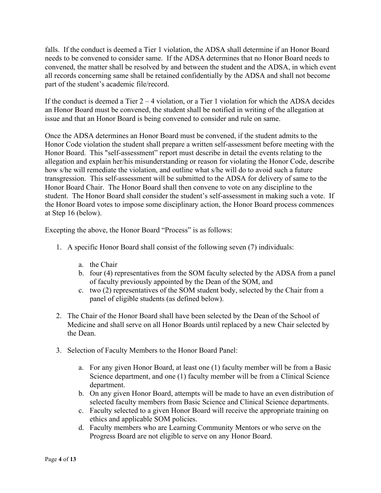falls. If the conduct is deemed a Tier 1 violation, the ADSA shall determine if an Honor Board needs to be convened to consider same. If the ADSA determines that no Honor Board needs to convened, the matter shall be resolved by and between the student and the ADSA, in which event all records concerning same shall be retained confidentially by the ADSA and shall not become part of the student's academic file/record.

If the conduct is deemed a Tier  $2 - 4$  violation, or a Tier 1 violation for which the ADSA decides an Honor Board must be convened, the student shall be notified in writing of the allegation at issue and that an Honor Board is being convened to consider and rule on same.

Once the ADSA determines an Honor Board must be convened, if the student admits to the Honor Code violation the student shall prepare a written self-assessment before meeting with the Honor Board. This "self-assessment" report must describe in detail the events relating to the allegation and explain her/his misunderstanding or reason for violating the Honor Code, describe how s/he will remediate the violation, and outline what s/he will do to avoid such a future transgression. This self-assessment will be submitted to the ADSA for delivery of same to the Honor Board Chair. The Honor Board shall then convene to vote on any discipline to the student. The Honor Board shall consider the student's self-assessment in making such a vote. If the Honor Board votes to impose some disciplinary action, the Honor Board process commences at Step 16 (below).

Excepting the above, the Honor Board "Process" is as follows:

- 1. A specific Honor Board shall consist of the following seven (7) individuals:
	- a. the Chair
	- b. four (4) representatives from the SOM faculty selected by the ADSA from a panel of faculty previously appointed by the Dean of the SOM, and
	- c. two (2) representatives of the SOM student body, selected by the Chair from a panel of eligible students (as defined below).
- 2. The Chair of the Honor Board shall have been selected by the Dean of the School of Medicine and shall serve on all Honor Boards until replaced by a new Chair selected by the Dean.
- 3. Selection of Faculty Members to the Honor Board Panel:
	- a. For any given Honor Board, at least one (1) faculty member will be from a Basic Science department, and one (1) faculty member will be from a Clinical Science department.
	- b. On any given Honor Board, attempts will be made to have an even distribution of selected faculty members from Basic Science and Clinical Science departments.
	- c. Faculty selected to a given Honor Board will receive the appropriate training on ethics and applicable SOM policies.
	- d. Faculty members who are Learning Community Mentors or who serve on the Progress Board are not eligible to serve on any Honor Board.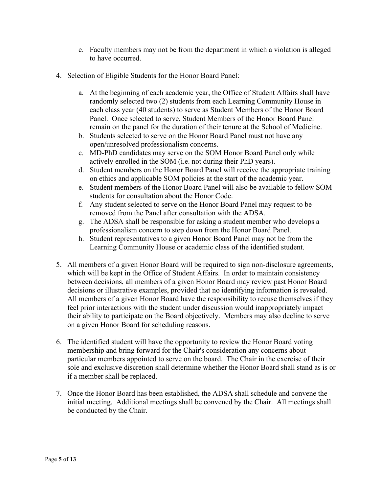- e. Faculty members may not be from the department in which a violation is alleged to have occurred.
- 4. Selection of Eligible Students for the Honor Board Panel:
	- a. At the beginning of each academic year, the Office of Student Affairs shall have randomly selected two (2) students from each Learning Community House in each class year (40 students) to serve as Student Members of the Honor Board Panel. Once selected to serve, Student Members of the Honor Board Panel remain on the panel for the duration of their tenure at the School of Medicine.
	- b. Students selected to serve on the Honor Board Panel must not have any open/unresolved professionalism concerns.
	- c. MD-PhD candidates may serve on the SOM Honor Board Panel only while actively enrolled in the SOM (i.e. not during their PhD years).
	- d. Student members on the Honor Board Panel will receive the appropriate training on ethics and applicable SOM policies at the start of the academic year.
	- e. Student members of the Honor Board Panel will also be available to fellow SOM students for consultation about the Honor Code.
	- f. Any student selected to serve on the Honor Board Panel may request to be removed from the Panel after consultation with the ADSA.
	- g. The ADSA shall be responsible for asking a student member who develops a professionalism concern to step down from the Honor Board Panel.
	- h. Student representatives to a given Honor Board Panel may not be from the Learning Community House or academic class of the identified student.
- 5. All members of a given Honor Board will be required to sign non-disclosure agreements, which will be kept in the Office of Student Affairs. In order to maintain consistency between decisions, all members of a given Honor Board may review past Honor Board decisions or illustrative examples, provided that no identifying information is revealed. All members of a given Honor Board have the responsibility to recuse themselves if they feel prior interactions with the student under discussion would inappropriately impact their ability to participate on the Board objectively. Members may also decline to serve on a given Honor Board for scheduling reasons.
- 6. The identified student will have the opportunity to review the Honor Board voting membership and bring forward for the Chair's consideration any concerns about particular members appointed to serve on the board. The Chair in the exercise of their sole and exclusive discretion shall determine whether the Honor Board shall stand as is or if a member shall be replaced.
- 7. Once the Honor Board has been established, the ADSA shall schedule and convene the initial meeting. Additional meetings shall be convened by the Chair. All meetings shall be conducted by the Chair.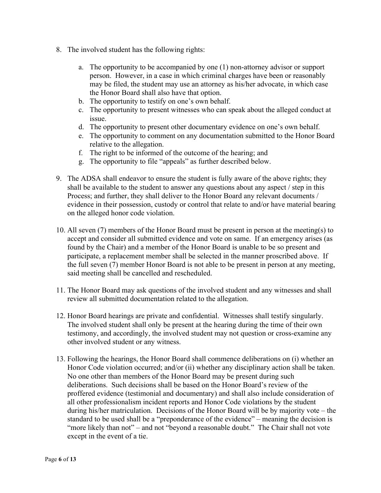- 8. The involved student has the following rights:
	- a. The opportunity to be accompanied by one (1) non-attorney advisor or support person. However, in a case in which criminal charges have been or reasonably may be filed, the student may use an attorney as his/her advocate, in which case the Honor Board shall also have that option.
	- b. The opportunity to testify on one's own behalf.
	- c. The opportunity to present witnesses who can speak about the alleged conduct at issue.
	- d. The opportunity to present other documentary evidence on one's own behalf.
	- e. The opportunity to comment on any documentation submitted to the Honor Board relative to the allegation.
	- f. The right to be informed of the outcome of the hearing; and
	- g. The opportunity to file "appeals" as further described below.
- 9. The ADSA shall endeavor to ensure the student is fully aware of the above rights; they shall be available to the student to answer any questions about any aspect / step in this Process; and further, they shall deliver to the Honor Board any relevant documents / evidence in their possession, custody or control that relate to and/or have material bearing on the alleged honor code violation.
- 10. All seven (7) members of the Honor Board must be present in person at the meeting(s) to accept and consider all submitted evidence and vote on same. If an emergency arises (as found by the Chair) and a member of the Honor Board is unable to be so present and participate, a replacement member shall be selected in the manner proscribed above. If the full seven (7) member Honor Board is not able to be present in person at any meeting, said meeting shall be cancelled and rescheduled.
- 11. The Honor Board may ask questions of the involved student and any witnesses and shall review all submitted documentation related to the allegation.
- 12. Honor Board hearings are private and confidential. Witnesses shall testify singularly. The involved student shall only be present at the hearing during the time of their own testimony, and accordingly, the involved student may not question or cross-examine any other involved student or any witness.
- 13. Following the hearings, the Honor Board shall commence deliberations on (i) whether an Honor Code violation occurred; and/or (ii) whether any disciplinary action shall be taken. No one other than members of the Honor Board may be present during such deliberations. Such decisions shall be based on the Honor Board's review of the proffered evidence (testimonial and documentary) and shall also include consideration of all other professionalism incident reports and Honor Code violations by the student during his/her matriculation. Decisions of the Honor Board will be by majority vote – the standard to be used shall be a "preponderance of the evidence" – meaning the decision is "more likely than not" – and not "beyond a reasonable doubt." The Chair shall not vote except in the event of a tie.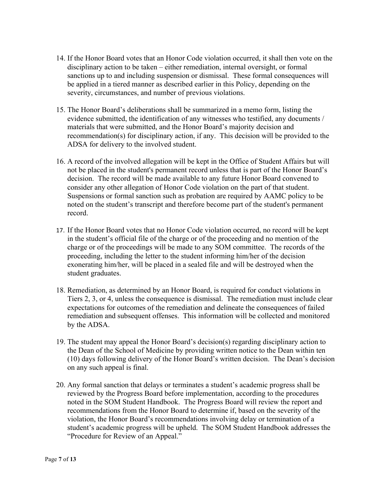- 14. If the Honor Board votes that an Honor Code violation occurred, it shall then vote on the disciplinary action to be taken – either remediation, internal oversight, or formal sanctions up to and including suspension or dismissal. These formal consequences will be applied in a tiered manner as described earlier in this Policy, depending on the severity, circumstances, and number of previous violations.
- 15. The Honor Board's deliberations shall be summarized in a memo form, listing the evidence submitted, the identification of any witnesses who testified, any documents / materials that were submitted, and the Honor Board's majority decision and recommendation(s) for disciplinary action, if any. This decision will be provided to the ADSA for delivery to the involved student.
- 16. A record of the involved allegation will be kept in the Office of Student Affairs but will not be placed in the student's permanent record unless that is part of the Honor Board's decision. The record will be made available to any future Honor Board convened to consider any other allegation of Honor Code violation on the part of that student. Suspensions or formal sanction such as probation are required by AAMC policy to be noted on the student's transcript and therefore become part of the student's permanent record.
- 17. If the Honor Board votes that no Honor Code violation occurred, no record will be kept in the student's official file of the charge or of the proceeding and no mention of the charge or of the proceedings will be made to any SOM committee. The records of the proceeding, including the letter to the student informing him/her of the decision exonerating him/her, will be placed in a sealed file and will be destroyed when the student graduates.
- 18. Remediation, as determined by an Honor Board, is required for conduct violations in Tiers 2, 3, or 4, unless the consequence is dismissal. The remediation must include clear expectations for outcomes of the remediation and delineate the consequences of failed remediation and subsequent offenses. This information will be collected and monitored by the ADSA.
- 19. The student may appeal the Honor Board's decision(s) regarding disciplinary action to the Dean of the School of Medicine by providing written notice to the Dean within ten (10) days following delivery of the Honor Board's written decision. The Dean's decision on any such appeal is final.
- 20. Any formal sanction that delays or terminates a student's academic progress shall be reviewed by the Progress Board before implementation, according to the procedures noted in the SOM Student Handbook. The Progress Board will review the report and recommendations from the Honor Board to determine if, based on the severity of the violation, the Honor Board's recommendations involving delay or termination of a student's academic progress will be upheld. The SOM Student Handbook addresses the "Procedure for Review of an Appeal."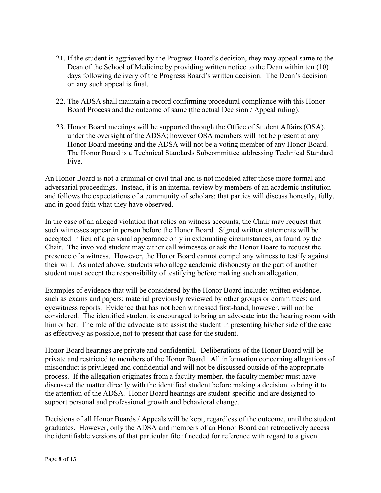- 21. If the student is aggrieved by the Progress Board's decision, they may appeal same to the Dean of the School of Medicine by providing written notice to the Dean within ten (10) days following delivery of the Progress Board's written decision. The Dean's decision on any such appeal is final.
- 22. The ADSA shall maintain a record confirming procedural compliance with this Honor Board Process and the outcome of same (the actual Decision / Appeal ruling).
- 23. Honor Board meetings will be supported through the Office of Student Affairs (OSA), under the oversight of the ADSA; however OSA members will not be present at any Honor Board meeting and the ADSA will not be a voting member of any Honor Board. The Honor Board is a Technical Standards Subcommittee addressing Technical Standard Five.

An Honor Board is not a criminal or civil trial and is not modeled after those more formal and adversarial proceedings. Instead, it is an internal review by members of an academic institution and follows the expectations of a community of scholars: that parties will discuss honestly, fully, and in good faith what they have observed.

In the case of an alleged violation that relies on witness accounts, the Chair may request that such witnesses appear in person before the Honor Board. Signed written statements will be accepted in lieu of a personal appearance only in extenuating circumstances, as found by the Chair. The involved student may either call witnesses or ask the Honor Board to request the presence of a witness. However, the Honor Board cannot compel any witness to testify against their will. As noted above, students who allege academic dishonesty on the part of another student must accept the responsibility of testifying before making such an allegation.

Examples of evidence that will be considered by the Honor Board include: written evidence, such as exams and papers; material previously reviewed by other groups or committees; and eyewitness reports. Evidence that has not been witnessed first-hand, however, will not be considered. The identified student is encouraged to bring an advocate into the hearing room with him or her. The role of the advocate is to assist the student in presenting his/her side of the case as effectively as possible, not to present that case for the student.

Honor Board hearings are private and confidential. Deliberations of the Honor Board will be private and restricted to members of the Honor Board. All information concerning allegations of misconduct is privileged and confidential and will not be discussed outside of the appropriate process. If the allegation originates from a faculty member, the faculty member must have discussed the matter directly with the identified student before making a decision to bring it to the attention of the ADSA. Honor Board hearings are student-specific and are designed to support personal and professional growth and behavioral change.

Decisions of all Honor Boards / Appeals will be kept, regardless of the outcome, until the student graduates. However, only the ADSA and members of an Honor Board can retroactively access the identifiable versions of that particular file if needed for reference with regard to a given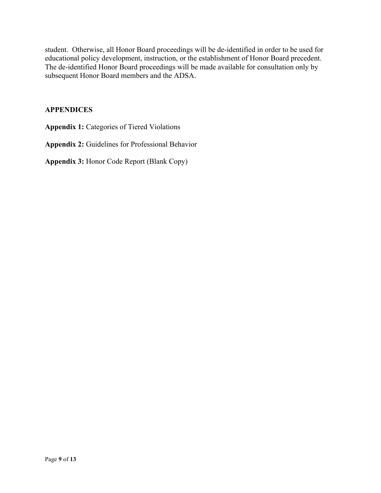student. Otherwise, all Honor Board proceedings will be de-identified in order to be used for educational policy development, instruction, or the establishment of Honor Board precedent. The de-identified Honor Board proceedings will be made available for consultation only by subsequent Honor Board members and the ADSA.

## **APPENDICES**

**Appendix 1:** Categories of Tiered Violations

**Appendix 2:** Guidelines for Professional Behavior

**Appendix 3:** Honor Code Report (Blank Copy)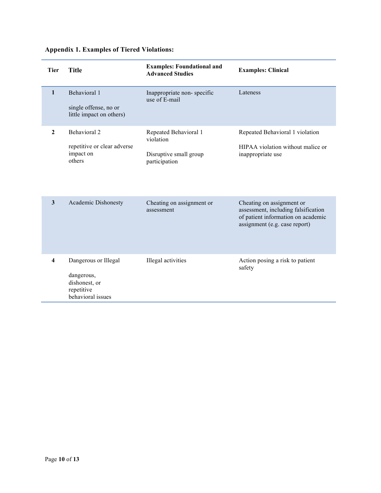| <b>Appendix 1. Examples of Tiered Violations:</b> |  |  |  |
|---------------------------------------------------|--|--|--|
|---------------------------------------------------|--|--|--|

| <b>Tier</b>             | <b>Title</b>                                                                           | <b>Examples: Foundational and</b><br><b>Advanced Studies</b>                  | <b>Examples: Clinical</b>                                                                                                               |
|-------------------------|----------------------------------------------------------------------------------------|-------------------------------------------------------------------------------|-----------------------------------------------------------------------------------------------------------------------------------------|
| $\mathbf{1}$            | Behavioral 1<br>single offense, no or<br>little impact on others)                      | Inappropriate non-specific<br>use of E-mail                                   | Lateness                                                                                                                                |
| $\mathbf{2}$            | Behavioral 2<br>repetitive or clear adverse<br>impact on<br>others                     | Repeated Behavioral 1<br>violation<br>Disruptive small group<br>participation | Repeated Behavioral 1 violation<br>HIPAA violation without malice or<br>inappropriate use                                               |
| 3                       | Academic Dishonesty                                                                    | Cheating on assignment or<br>assessment                                       | Cheating on assignment or<br>assessment, including falsification<br>of patient information on academic<br>assignment (e.g. case report) |
| $\overline{\mathbf{4}}$ | Dangerous or Illegal<br>dangerous,<br>dishonest, or<br>repetitive<br>behavioral issues | Illegal activities                                                            | Action posing a risk to patient<br>safety                                                                                               |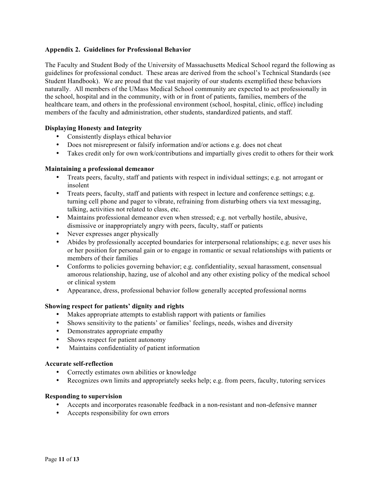#### **Appendix 2. Guidelines for Professional Behavior**

The Faculty and Student Body of the University of Massachusetts Medical School regard the following as guidelines for professional conduct. These areas are derived from the school's Technical Standards (see Student Handbook). We are proud that the vast majority of our students exemplified these behaviors naturally. All members of the UMass Medical School community are expected to act professionally in the school, hospital and in the community, with or in front of patients, families, members of the healthcare team, and others in the professional environment (school, hospital, clinic, office) including members of the faculty and administration, other students, standardized patients, and staff.

#### **Displaying Honesty and Integrity**

- Consistently displays ethical behavior
- Does not misrepresent or falsify information and/or actions e.g. does not cheat
- Takes credit only for own work/contributions and impartially gives credit to others for their work

#### **Maintaining a professional demeanor**

- Treats peers, faculty, staff and patients with respect in individual settings; e.g. not arrogant or insolent
- Treats peers, faculty, staff and patients with respect in lecture and conference settings; e.g. turning cell phone and pager to vibrate, refraining from disturbing others via text messaging, talking, activities not related to class, etc.
- Maintains professional demeanor even when stressed; e.g. not verbally hostile, abusive, dismissive or inappropriately angry with peers, faculty, staff or patients
- Never expresses anger physically
- Abides by professionally accepted boundaries for interpersonal relationships; e.g. never uses his or her position for personal gain or to engage in romantic or sexual relationships with patients or members of their families
- Conforms to policies governing behavior; e.g. confidentiality, sexual harassment, consensual amorous relationship, hazing, use of alcohol and any other existing policy of the medical school or clinical system
- Appearance, dress, professional behavior follow generally accepted professional norms

#### **Showing respect for patients' dignity and rights**

- Makes appropriate attempts to establish rapport with patients or families
- Shows sensitivity to the patients' or families' feelings, needs, wishes and diversity
- Demonstrates appropriate empathy
- Shows respect for patient autonomy
- Maintains confidentiality of patient information

#### **Accurate self-reflection**

- Correctly estimates own abilities or knowledge
- Recognizes own limits and appropriately seeks help; e.g. from peers, faculty, tutoring services

#### **Responding to supervision**

- Accepts and incorporates reasonable feedback in a non-resistant and non-defensive manner
- Accepts responsibility for own errors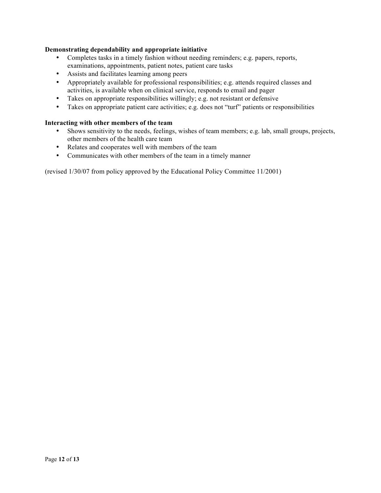#### **Demonstrating dependability and appropriate initiative**

- Completes tasks in a timely fashion without needing reminders; e.g. papers, reports, examinations, appointments, patient notes, patient care tasks
- Assists and facilitates learning among peers
- Appropriately available for professional responsibilities; e.g. attends required classes and activities, is available when on clinical service, responds to email and pager
- Takes on appropriate responsibilities willingly; e.g. not resistant or defensive
- Takes on appropriate patient care activities; e.g. does not "turf" patients or responsibilities

#### **Interacting with other members of the team**

- Shows sensitivity to the needs, feelings, wishes of team members; e.g. lab, small groups, projects, other members of the health care team
- Relates and cooperates well with members of the team
- Communicates with other members of the team in a timely manner

(revised 1/30/07 from policy approved by the Educational Policy Committee 11/2001)